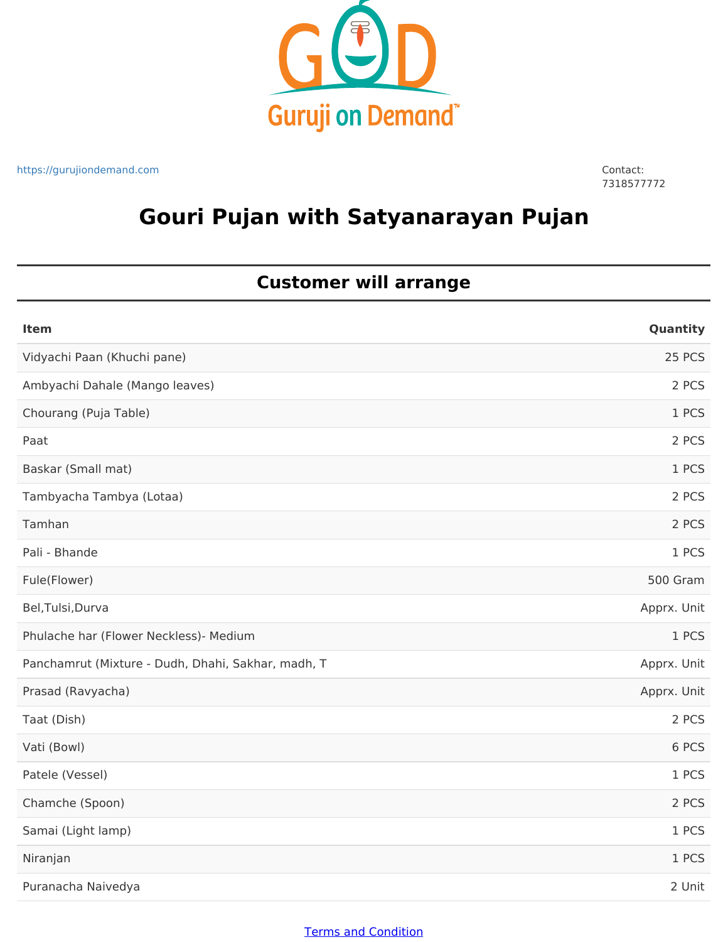

https://gurujiondemand.com Contact:

7318577772

# **Gouri Pujan with Satyanarayan Pujan**

### **Customer will arrange**

| <b>Item</b>                                        | Quantity    |
|----------------------------------------------------|-------------|
| Vidyachi Paan (Khuchi pane)                        | 25 PCS      |
| Ambyachi Dahale (Mango leaves)                     | 2 PCS       |
| Chourang (Puja Table)                              | 1 PCS       |
| Paat                                               | 2 PCS       |
| Baskar (Small mat)                                 | 1 PCS       |
| Tambyacha Tambya (Lotaa)                           | 2 PCS       |
| Tamhan                                             | 2 PCS       |
| Pali - Bhande                                      | 1 PCS       |
| Fule(Flower)                                       | 500 Gram    |
| Bel, Tulsi, Durva                                  | Apprx. Unit |
| Phulache har (Flower Neckless)- Medium             | 1 PCS       |
| Panchamrut (Mixture - Dudh, Dhahi, Sakhar, madh, T | Apprx. Unit |
| Prasad (Ravyacha)                                  | Apprx. Unit |
| Taat (Dish)                                        | 2 PCS       |
| Vati (Bowl)                                        | 6 PCS       |
| Patele (Vessel)                                    | 1 PCS       |
| Chamche (Spoon)                                    | 2 PCS       |
| Samai (Light lamp)                                 | 1 PCS       |
| Niranjan                                           | 1 PCS       |
| Puranacha Naivedya                                 | 2 Unit      |

#### Terms and Condition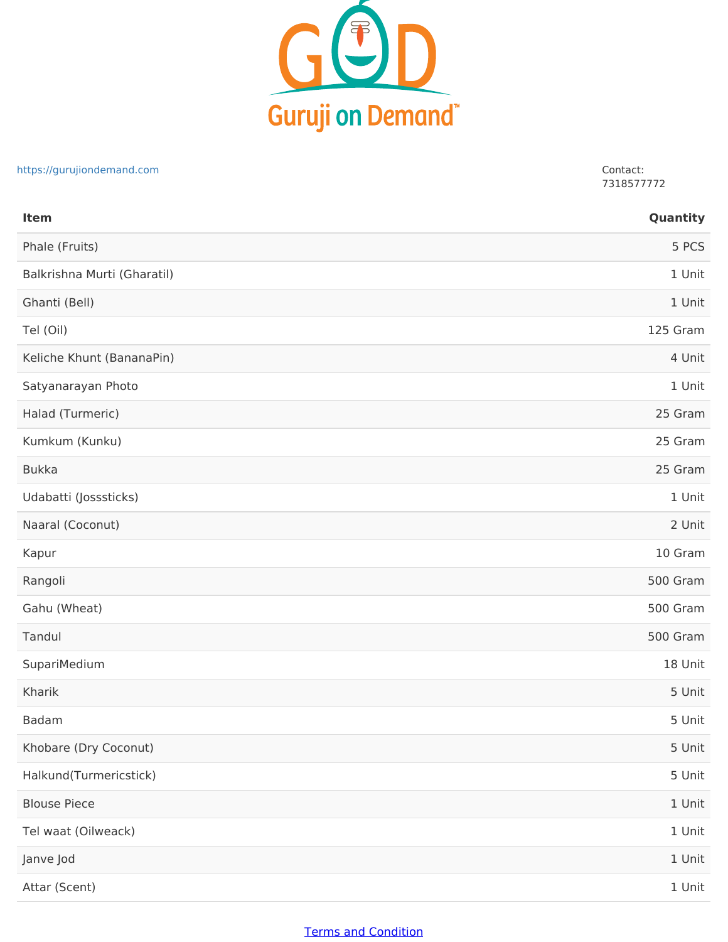

#### https://gurujiondemand.com Contact:

7318577772

| Item                        | Quantity |
|-----------------------------|----------|
| Phale (Fruits)              | 5 PCS    |
| Balkrishna Murti (Gharatil) | 1 Unit   |
| Ghanti (Bell)               | 1 Unit   |
| Tel (Oil)                   | 125 Gram |
| Keliche Khunt (BananaPin)   | 4 Unit   |
| Satyanarayan Photo          | 1 Unit   |
| Halad (Turmeric)            | 25 Gram  |
| Kumkum (Kunku)              | 25 Gram  |
| <b>Bukka</b>                | 25 Gram  |
| Udabatti (Josssticks)       | 1 Unit   |
| Naaral (Coconut)            | 2 Unit   |
| Kapur                       | 10 Gram  |
| Rangoli                     | 500 Gram |
| Gahu (Wheat)                | 500 Gram |
| Tandul                      | 500 Gram |
| SupariMedium                | 18 Unit  |
| Kharik                      | 5 Unit   |
| <b>Badam</b>                | 5 Unit   |
| Khobare (Dry Coconut)       | 5 Unit   |
| Halkund(Turmericstick)      | 5 Unit   |
| <b>Blouse Piece</b>         | 1 Unit   |
| Tel waat (Oilweack)         | 1 Unit   |
| Janve Jod                   | 1 Unit   |
| Attar (Scent)               | 1 Unit   |

### Terms and Condition